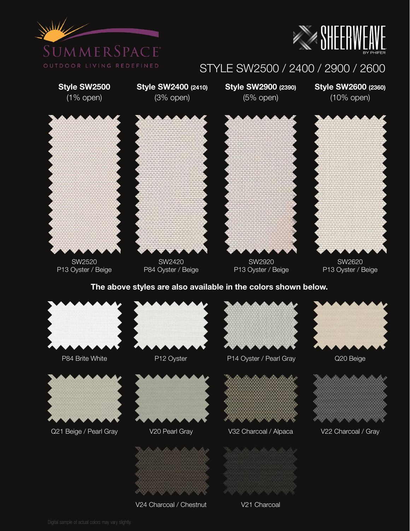



## STYLE SW2500 / 2400 / 2900 / 2600



V21 Charcoal

V24 Charcoal / Chestnut